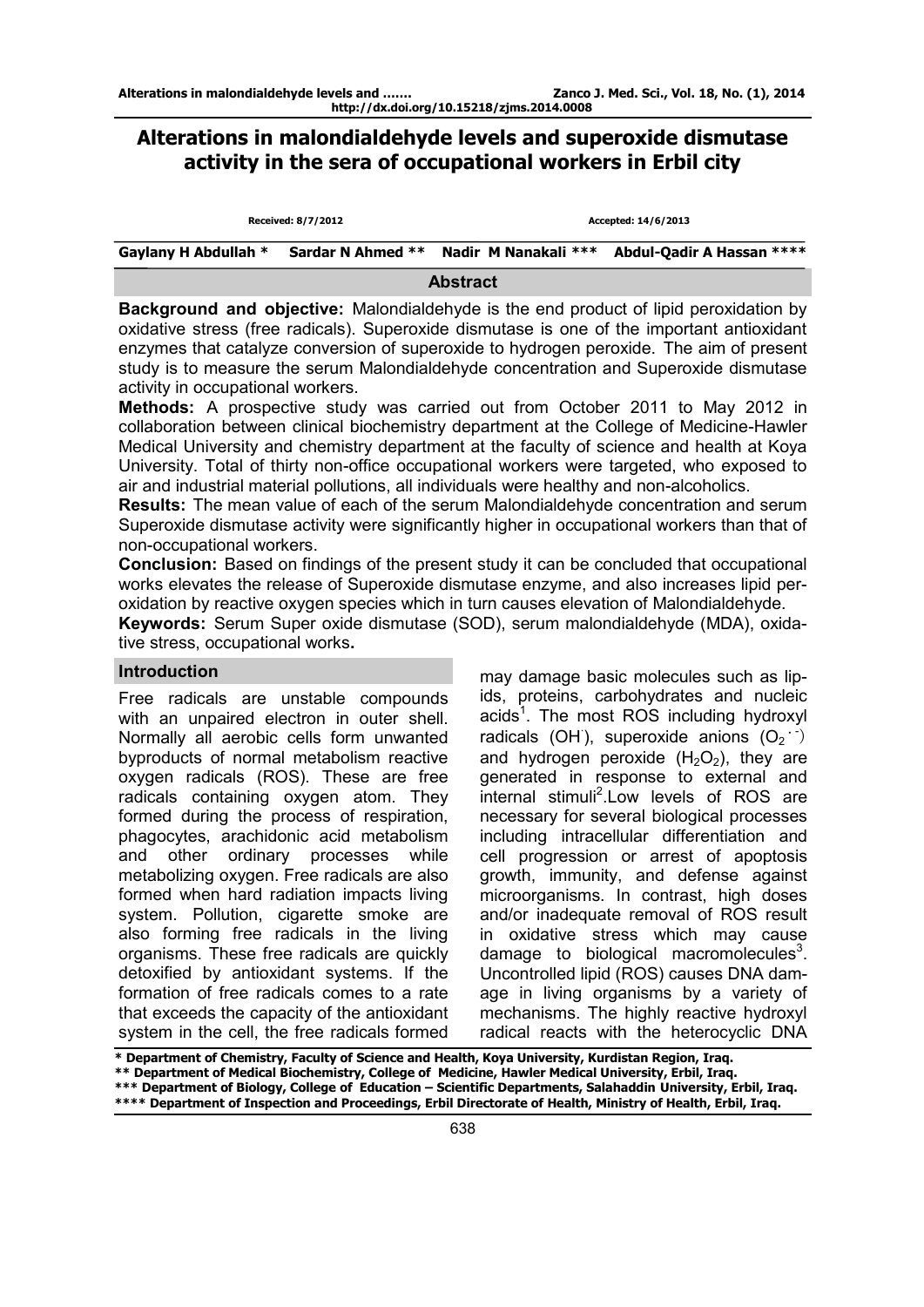# **Alterations in malondialdehyde levels and superoxide dismutase activity in the sera of occupational workers in Erbil city**

|                      | Received: 8/7/2012 |                                        | Accepted: 14/6/2013       |
|----------------------|--------------------|----------------------------------------|---------------------------|
| Gaylany H Abdullah * |                    | Sardar N Ahmed ** Nadir M Nanakali *** | Abdul-Qadir A Hassan **** |

**Abstract** 

**Background and objective:** Malondialdehyde is the end product of lipid peroxidation by oxidative stress (free radicals). Superoxide dismutase is one of the important antioxidant enzymes that catalyze conversion of superoxide to hydrogen peroxide. The aim of present study is to measure the serum Malondialdehyde concentration and Superoxide dismutase activity in occupational workers.

**Methods:** A prospective study was carried out from October 2011 to May 2012 in collaboration between clinical biochemistry department at the College of Medicine-Hawler Medical University and chemistry department at the faculty of science and health at Koya University. Total of thirty non-office occupational workers were targeted, who exposed to air and industrial material pollutions, all individuals were healthy and non-alcoholics.

**Results:** The mean value of each of the serum Malondialdehyde concentration and serum Superoxide dismutase activity were significantly higher in occupational workers than that of non-occupational workers.

**Conclusion:** Based on findings of the present study it can be concluded that occupational works elevates the release of Superoxide dismutase enzyme, and also increases lipid peroxidation by reactive oxygen species which in turn causes elevation of Malondialdehyde.

**Keywords:** Serum Super oxide dismutase (SOD), serum malondialdehyde (MDA), oxidative stress, occupational works**.**

# **Introduction**

Free radicals are unstable compounds with an unpaired electron in outer shell. Normally all aerobic cells form unwanted byproducts of normal metabolism reactive oxygen radicals (ROS). These are free radicals containing oxygen atom. They formed during the process of respiration, phagocytes, arachidonic acid metabolism and other ordinary processes while metabolizing oxygen. Free radicals are also formed when hard radiation impacts living system. Pollution, cigarette smoke are also forming free radicals in the living organisms. These free radicals are quickly detoxified by antioxidant systems. If the formation of free radicals comes to a rate that exceeds the capacity of the antioxidant system in the cell, the free radicals formed

may damage basic molecules such as lipids, proteins, carbohydrates and nucleic acids<sup>1</sup>. The most ROS including hydroxyl radicals (OH), superoxide anions  $(O_2^{\cdots})$ and hydrogen peroxide  $(H_2O_2)$ , they are generated in response to external and  $internal$  stimuli<sup>2</sup>. Low levels of ROS are necessary for several biological processes including intracellular differentiation and cell progression or arrest of apoptosis growth, immunity, and defense against microorganisms. In contrast, high doses and/or inadequate removal of ROS result in oxidative stress which may cause damage to biological macromolecules $3$ . Uncontrolled lipid (ROS) causes DNA damage in living organisms by a variety of mechanisms. The highly reactive hydroxyl radical reacts with the heterocyclic DNA

**\* Department of Chemistry, Faculty of Science and Health, Koya University, Kurdistan Region, Iraq. \*\* Department of Medical Biochemistry, College of Medicine, Hawler Medical University, Erbil, Iraq. \*\*\* Department of Biology, College of Education – Scientific Departments, Salahaddin University, Erbil, Iraq. \*\*\*\* Department of Inspection and Proceedings, Erbil Directorate of Health, Ministry of Health, Erbil, Iraq.**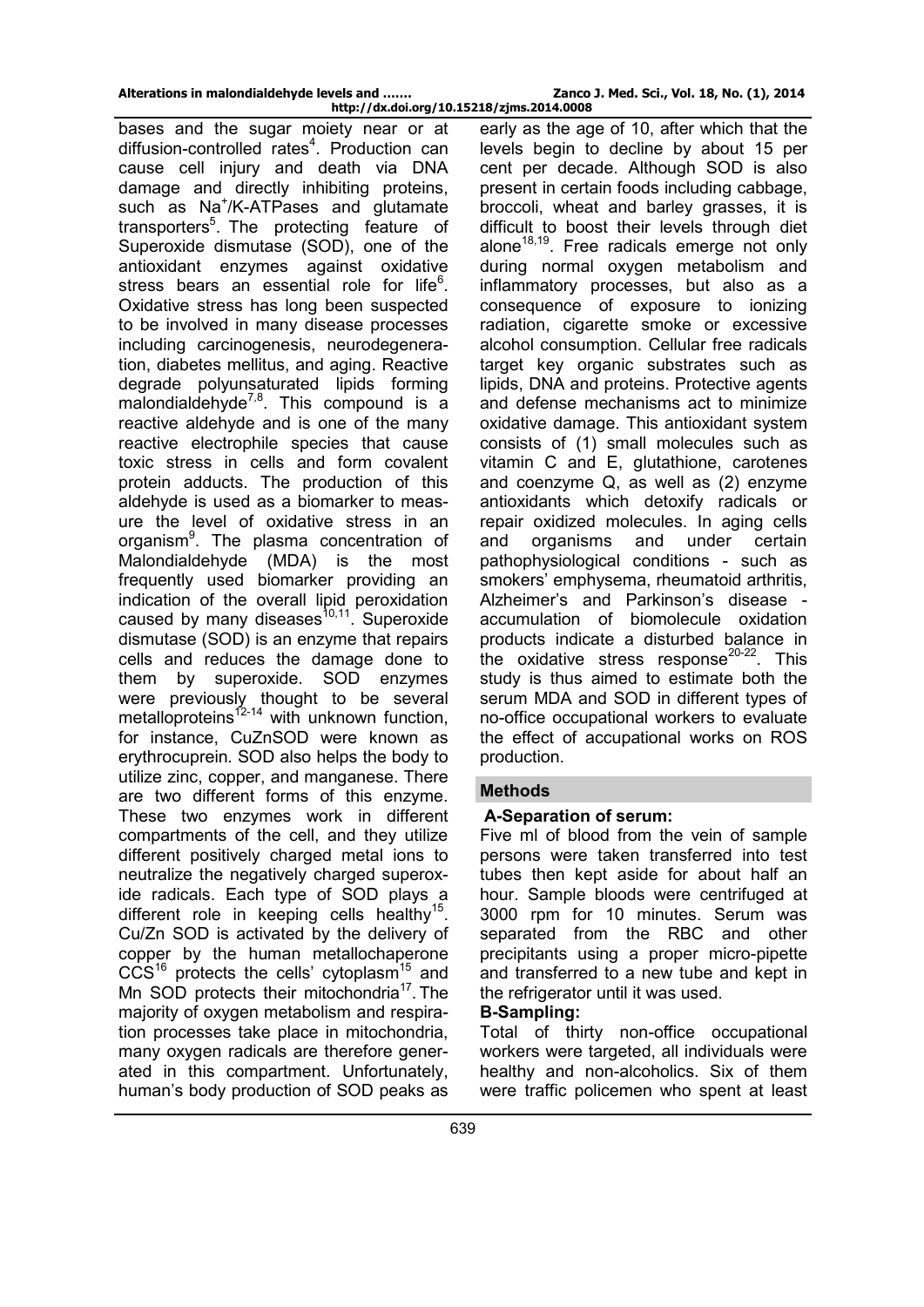**http://dx.doi.org/10.15218/zjms.2014.0008**  bases and the sugar moiety near or at diffusion-controlled rates<sup>4</sup>. Production can cause cell injury and death via DNA damage and directly inhibiting proteins, such as Na<sup>+</sup>/K-ATPases and glutamate transporters<sup>5</sup>. The protecting feature of Superoxide dismutase (SOD), one of the antioxidant enzymes against oxidative stress bears an essential role for life<sup>6</sup>. Oxidative stress has long been suspected to be involved in many disease processes including carcinogenesis, neurodegeneration, diabetes mellitus, and aging. Reactive degrade [polyunsaturated lipids](http://en.wikipedia.org/wiki/Polyunsaturated_fat) forming malondialdehyde<sup>7,8</sup>. This compound is a reactive [aldehyde](http://en.wikipedia.org/wiki/Aldehyde) and is one of the many reactive electrophile species that cause toxic stress in cells and form covalent protein adducts. The production of this aldehyde is used as a biomarker to measure the level of [oxidative stress](http://en.wikipedia.org/wiki/Oxidative_stress) in an organism<sup>9</sup>. The plasma concentration of Malondialdehyde (MDA) is the most frequently used biomarker providing an indication of the overall lipid peroxidation caused by many diseases $10,11$ . Superoxide dismutase (SOD) is an enzyme that repairs cells and reduces the damage done to them by superoxide. SOD enzymes were previously thought to be several metalloproteins<sup>12-14</sup> with unknown function, for instance, CuZnSOD were known as erythrocuprein. SOD also helps the body to utilize zinc, copper, and manganese. There are two different forms of this enzyme. These two enzymes work in different compartments of the cell, and they utilize different positively charged metal ions to neutralize the negatively charged superoxide radicals. Each type of SOD plays a different role in keeping cells healthy<sup>15</sup>. Cu/Zn SOD is activated by the delivery of copper by the human metallochaperone  $CCS<sup>16</sup>$  protects the cells' cytoplasm<sup>15</sup> and Mn SOD protects their mitochondria<sup>17</sup>. The majority of [oxygen](http://www.wisegeek.com/what-is-oxygen.htm) metabolism and respiration processes take place in mitochondria, many oxygen radicals are therefore generated in this compartment. Unfortunately, human's body production of SOD peaks as

early as the age of 10, after which that the levels begin to decline by about 15 per cent per decade. Although SOD is also present in certain foods including cabbage, broccoli, wheat and barley grasses, it is difficult to boost their levels through diet alone<sup>18,19</sup>. Free radicals emerge not only during normal oxygen metabolism and inflammatory processes, but also as a consequence of exposure to ionizing radiation, cigarette smoke or excessive alcohol consumption. Cellular free radicals target key organic substrates such as lipids, DNA and proteins. Protective agents and defense mechanisms act to minimize oxidative damage. This antioxidant system consists of (1) small molecules such as vitamin C and E, glutathione, carotenes and coenzyme Q, as well as (2) enzyme antioxidants which detoxify radicals or repair oxidized molecules. In aging cells and organisms and under certain pathophysiological conditions - such as smokers' emphysema, rheumatoid arthritis, Alzheimer's and Parkinson's disease accumulation of biomolecule oxidation products indicate a disturbed balance in the oxidative stress response<sup>20-22</sup>. This study is thus aimed to estimate both the serum MDA and SOD in different types of no-office occupational workers to evaluate the effect of accupational works on ROS production.

# **Methods**

# **A-Separation of serum:**

Five ml of blood from the vein of sample persons were taken transferred into test tubes then kept aside for about half an hour. Sample bloods were centrifuged at 3000 rpm for 10 minutes. Serum was separated from the RBC and other precipitants using a proper micro-pipette and transferred to a new tube and kept in the refrigerator until it was used.

# **B-Sampling:**

Total of thirty non-office occupational workers were targeted, all individuals were healthy and non-alcoholics. Six of them were traffic policemen who spent at least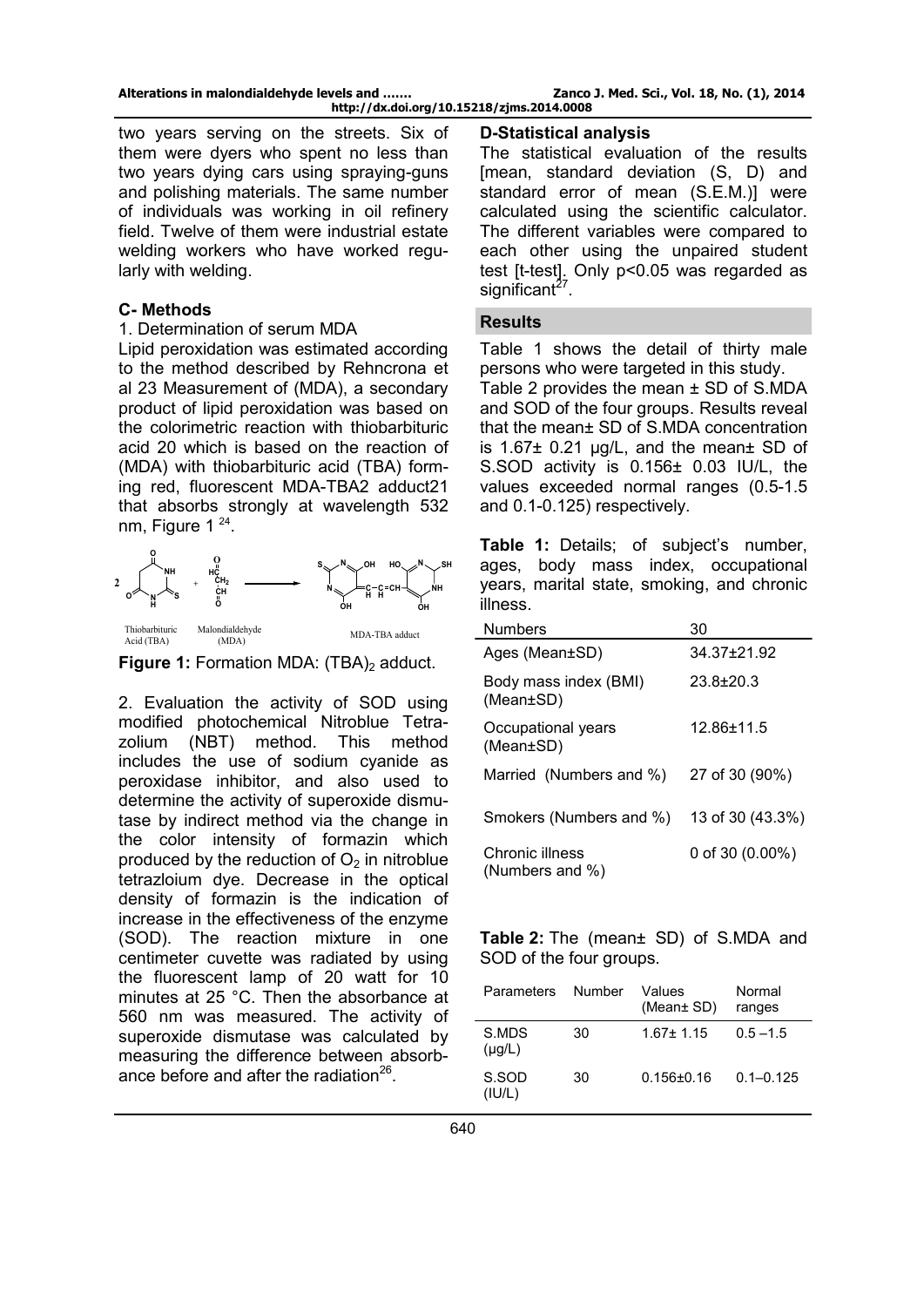two years serving on the streets. Six of them were dyers who spent no less than two years dying cars using spraying-guns and polishing materials. The same number of individuals was working in oil refinery field. Twelve of them were industrial estate welding workers who have worked regularly with welding.

# **C- Methods**

#### 1. Determination of serum MDA

Lipid peroxidation was estimated according to the method described by Rehncrona et al 23 Measurement of (MDA), a secondary product of lipid peroxidation was based on the colorimetric reaction with thiobarbituric acid 20 which is based on the reaction of (MDA) with thiobarbituric acid (TBA) forming red, fluorescent MDA-TBA2 adduct21 that absorbs strongly at wavelength 532 nm, Figure  $1^{24}$ .



**Figure 1:** Formation MDA: (TBA)<sub>2</sub> adduct.

2. Evaluation the activity of SOD using modified photochemical Nitroblue Tetrazolium (NBT) method. This method includes the use of sodium cyanide as peroxidase inhibitor, and also used to determine the activity of superoxide dismutase by indirect method via the change in the color intensity of formazin which produced by the reduction of  $O<sub>2</sub>$  in nitroblue tetrazloium dye. Decrease in the optical density of formazin is the indication of increase in the effectiveness of the enzyme (SOD). The reaction mixture in one centimeter cuvette was radiated by using the fluorescent lamp of 20 watt for 10 minutes at 25 °C. Then the absorbance at 560 nm was measured. The activity of superoxide dismutase was calculated by measuring the difference between absorbance before and after the radiation<sup>26</sup>.

# **D-Statistical analysis**

The statistical evaluation of the results [mean, standard deviation (S, D) and standard error of mean (S.E.M.)] were calculated using the scientific calculator. The different variables were compared to each other using the unpaired student test [t-test]. Only p<0.05 was regarded as significant $2^{\prime}$ .

### **Results**

Table 1 shows the detail of thirty male persons who were targeted in this study. Table 2 provides the mean  $\pm$  SD of S.MDA and SOD of the four groups. Results reveal that the mean± SD of S.MDA concentration is 1.67 $\pm$  0.21 µg/L, and the mean $\pm$  SD of S.SOD activity is 0.156± 0.03 IU/L, the values exceeded normal ranges (0.5-1.5 and 0.1-0.125) respectively.

**Table 1:** Details; of subject's number, ages, body mass index, occupational years, marital state, smoking, and chronic illness.

| <b>Numbers</b>                     | 30                 |
|------------------------------------|--------------------|
| Ages (Mean±SD)                     | 34.37+21.92        |
| Body mass index (BMI)<br>(Mean±SD) | $23.8 \pm 20.3$    |
| Occupational years<br>(Mean±SD)    | $12.86 + 11.5$     |
| Married (Numbers and %)            | 27 of 30 (90%)     |
| Smokers (Numbers and %)            | 13 of 30 (43.3%)   |
| Chronic illness<br>(Numbers and %) | 0 of 30 $(0.00\%)$ |

**Table 2:** The (mean± SD) of S.MDA and SOD of the four groups.

| <b>Parameters</b>    | Number | Values<br>(Mean $\pm$ SD) | Normal<br>ranges |
|----------------------|--------|---------------------------|------------------|
| S.MDS<br>$(\mu g/L)$ | 30     | $1.67 + 1.15$             | $0.5 - 1.5$      |
| S.SOD<br>(IU/L)      | 30     | $0.156 + 0.16$            | $0.1 - 0.125$    |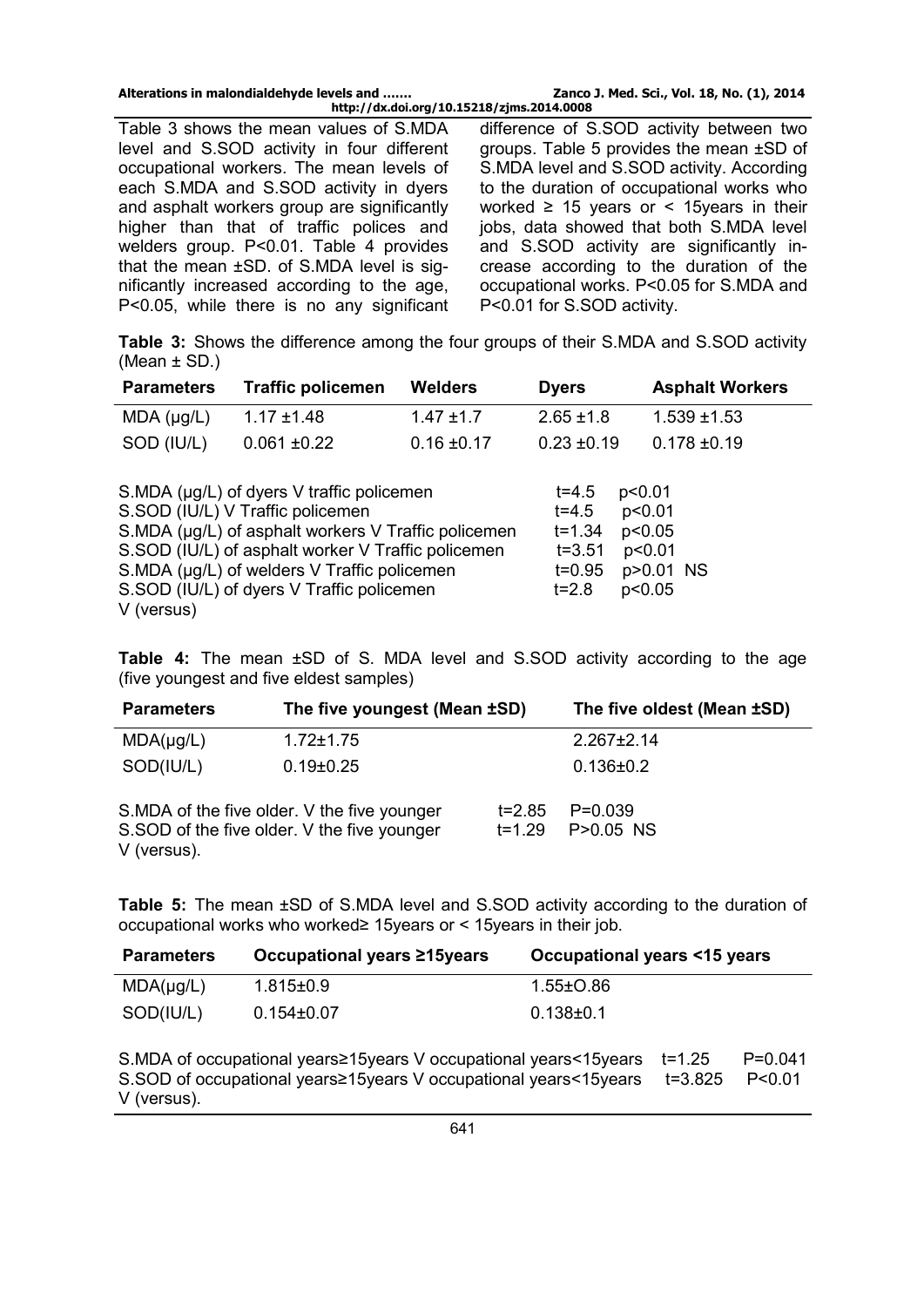**http://dx.doi.org/10.15218/zjms.2014.0008**  Table 3 shows the mean values of S.MDA level and S.SOD activity in four different occupational workers. The mean levels of each S.MDA and S.SOD activity in dyers and asphalt workers group are significantly higher than that of traffic polices and welders group. P<0.01. Table 4 provides that the mean ±SD. of S.MDA level is significantly increased according to the age, P<0.05, while there is no any significant

difference of S.SOD activity between two groups. Table 5 provides the mean ±SD of S.MDA level and S.SOD activity. According to the duration of occupational works who worked  $\geq$  15 years or < 15 years in their jobs, data showed that both S.MDA level and S.SOD activity are significantly increase according to the duration of the occupational works. P<0.05 for S.MDA and P<0.01 for S.SOD activity.

**Table 3:** Shows the difference among the four groups of their S.MDA and S.SOD activity (Mean ± SD.)

| <b>Parameters</b> | <b>Traffic policemen</b>                                                                                                                                                                                                                                                               | <b>Welders</b>  | <b>Dyers</b>                                                                            | <b>Asphalt Workers</b>                            |
|-------------------|----------------------------------------------------------------------------------------------------------------------------------------------------------------------------------------------------------------------------------------------------------------------------------------|-----------------|-----------------------------------------------------------------------------------------|---------------------------------------------------|
| MDA (µg/L)        | $1.17 \pm 1.48$                                                                                                                                                                                                                                                                        | $1.47 \pm 1.7$  | $2.65 \pm 1.8$                                                                          | $1.539 + 1.53$                                    |
| SOD (IU/L)        | $0.061 \pm 0.22$                                                                                                                                                                                                                                                                       | $0.16 \pm 0.17$ | $0.23 \pm 0.19$                                                                         | $0.178 + 0.19$                                    |
| V (versus)        | S.MDA (µg/L) of dyers V traffic policemen<br>S.SOD (IU/L) V Traffic policemen<br>S.MDA (µg/L) of asphalt workers V Traffic policemen<br>S.SOD (IU/L) of asphalt worker V Traffic policemen<br>S.MDA (µg/L) of welders V Traffic policemen<br>S.SOD (IU/L) of dyers V Traffic policemen |                 | p<0.01<br>$t = 4.5$<br>$t = 4.5$<br>$t = 1.34$<br>$t = 3.51$<br>$t = 0.95$<br>$t = 2.8$ | p<0.01<br>p<0.05<br>p<0.01<br>p>0.01 NS<br>p<0.05 |

**Table 4:** The mean ±SD of S. MDA level and S.SOD activity according to the age (five youngest and five eldest samples)

| <b>Parameters</b> | The five youngest (Mean ±SD)                                                               |                          | The five oldest (Mean ±SD) |
|-------------------|--------------------------------------------------------------------------------------------|--------------------------|----------------------------|
| $MDA(\mu g/L)$    | $1.72 \pm 1.75$                                                                            |                          | $2.267 \pm 2.14$           |
| SOD(IU/L)         | $0.19 \pm 0.25$                                                                            |                          | $0.136 \pm 0.2$            |
| V (versus).       | S.MDA of the five older. V the five younger<br>S.SOD of the five older. V the five younger | $t = 2.85$<br>$t = 1.29$ | $P=0.039$<br>P>0.05 NS     |

**Table 5:** The mean ±SD of S.MDA level and S.SOD activity according to the duration of occupational works who worked≥ 15years or < 15years in their job.

| <b>Parameters</b> | Occupational years ≥15 years | Occupational years <15 years |
|-------------------|------------------------------|------------------------------|
| $MDA(\mu g/L)$    | 1.815±0.9                    | $1.55 \pm 0.86$              |
| SOD(IU/L)         | $0.154\pm0.07$               | $0.138 + 0.1$                |

S.MDA of occupational years≥15years V occupational years<15years t=1.25 P=0.041 S.SOD of occupational years≥15years V occupational years<15years t=3.825 P<0.01 V (versus).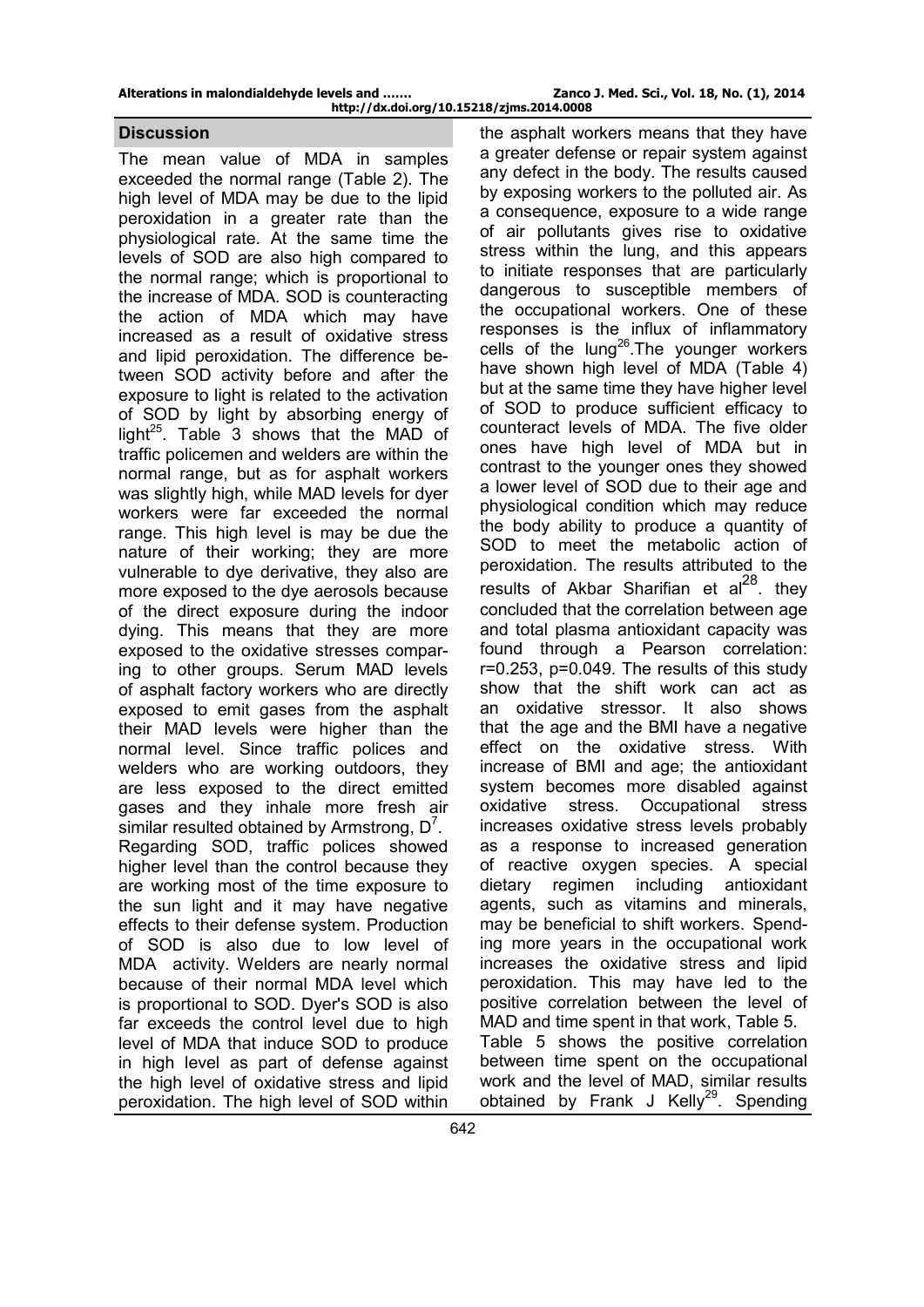#### **Discussion**

The mean value of MDA in samples exceeded the normal range (Table 2). The high level of MDA may be due to the lipid peroxidation in a greater rate than the physiological rate. At the same time the levels of SOD are also high compared to the normal range; which is proportional to the increase of MDA. SOD is counteracting the action of MDA which may have increased as a result of oxidative stress and lipid peroxidation. The difference between SOD activity before and after the exposure to light is related to the activation of SOD by light by absorbing energy of light<sup>25</sup>. Table 3 shows that the MAD of traffic policemen and welders are within the normal range, but as for asphalt workers was slightly high, while MAD levels for dyer workers were far exceeded the normal range. This high level is may be due the nature of their working; they are more vulnerable to dye derivative, they also are more exposed to the dye aerosols because of the direct exposure during the indoor dying. This means that they are more exposed to the oxidative stresses comparing to other groups. Serum MAD levels of asphalt factory workers who are directly exposed to emit gases from the asphalt their MAD levels were higher than the normal level. Since traffic polices and welders who are working outdoors, they are less exposed to the direct emitted gases and they inhale more fresh air similar resulted obtained by Armstrong,  $D^7$ . Regarding SOD, traffic polices showed higher level than the control because they are working most of the time exposure to the sun light and it may have negative effects to their defense system. Production of SOD is also due to low level of MDA activity. Welders are nearly normal because of their normal MDA level which is proportional to SOD. Dyer's SOD is also far exceeds the control level due to high level of MDA that induce SOD to produce in high level as part of defense against the high level of oxidative stress and lipid peroxidation. The high level of SOD within

the asphalt workers means that they have a greater defense or repair system against any defect in the body. The results caused by exposing workers to the polluted air. As a consequence, exposure to a wide range of air pollutants gives rise to oxidative stress within the lung, and this appears to initiate responses that are particularly dangerous to susceptible members of the occupational workers. One of these responses is the influx of inflammatory cells of the lung<sup>26</sup>. The younger workers have shown high level of MDA (Table 4) but at the same time they have higher level of SOD to produce sufficient efficacy to counteract levels of MDA. The five older ones have high level of MDA but in contrast to the younger ones they showed a lower level of SOD due to their age and physiological condition which may reduce the body ability to produce a quantity of SOD to meet the metabolic action of peroxidation. The results attributed to the results of Akbar Sharifian et  $a^{28}$ . they concluded that the correlation between age and total plasma antioxidant capacity was found through a Pearson correlation: r=0.253, p=0.049. The results of this study show that the shift work can act as an oxidative stressor. It also shows that the age and the BMI have a negative effect on the oxidative stress. With increase of BMI and age; the antioxidant system becomes more disabled against oxidative stress. Occupational stress increases oxidative stress levels probably as a response to increased generation of reactive oxygen species. A special dietary regimen including antioxidant agents, such as vitamins and minerals, may be beneficial to shift workers. Spending more years in the occupational work increases the oxidative stress and lipid peroxidation. This may have led to the positive correlation between the level of MAD and time spent in that work, Table 5. Table 5 shows the positive correlation between time spent on the occupational work and the level of MAD, similar results obtained by Frank J Kelly<sup>29</sup>. Spending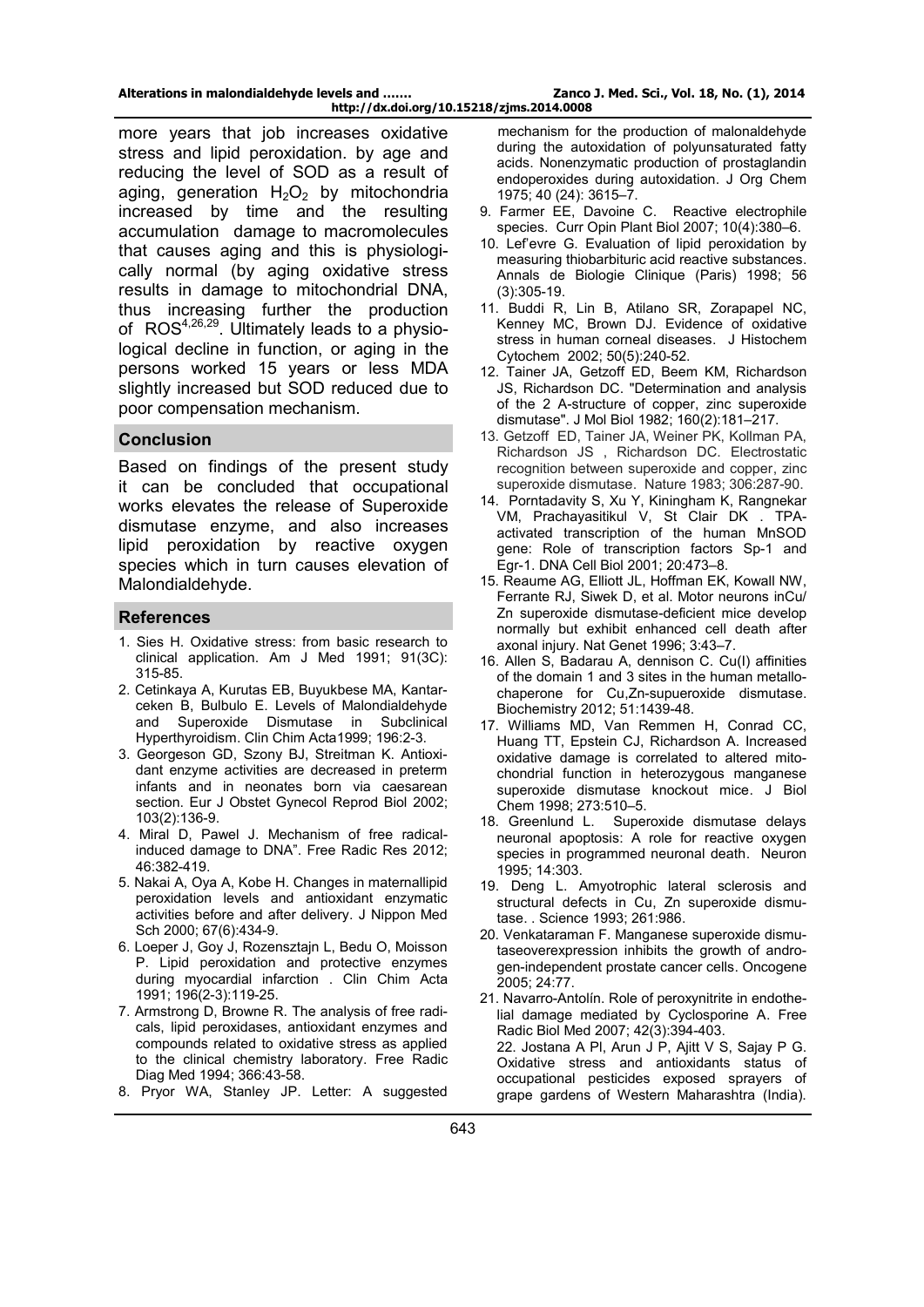more years that job increases oxidative stress and lipid peroxidation. by age and reducing the level of SOD as a result of aging, generation  $H_2O_2$  by mitochondria increased by time and the resulting accumulation damage to macromolecules that causes aging and this is physiologically normal (by aging oxidative stress results in damage to mitochondrial DNA, thus increasing further the production of ROS<sup>4,26,29</sup>. Ultimately leads to a physiological decline in function, or aging in the persons worked 15 years or less MDA slightly increased but SOD reduced due to poor compensation mechanism.

# **Conclusion**

Based on findings of the present study it can be concluded that occupational works elevates the release of Superoxide dismutase enzyme, and also increases lipid peroxidation by reactive oxygen species which in turn causes elevation of Malondialdehyde.

#### **References**

- 1. Sies H. Oxidative stress: from basic research to clinical application. Am J Med 1991; 91(3C): 315-85.
- 2. Cetinkaya A, Kurutas EB, Buyukbese MA, Kantarceken B, Bulbulo E. Levels of Malondialdehyde and Superoxide Dismutase in Subclinical Hyperthyroidism. Clin Chim Acta1999; 196:2-3.
- 3. Georgeson GD, Szony BJ, Streitman K. Antioxidant enzyme activities are decreased in preterm infants and in neonates born via caesarean section. Eur J Obstet Gynecol Reprod Biol 2002; 103(2):136-9.
- 4. Miral D, Pawel J. Mechanism of free radicalinduced damage to DNA". Free Radic Res 2012; 46:382-419.
- 5. Nakai A, Oya A, Kobe H. Changes in maternallipid peroxidation levels and antioxidant enzymatic activities before and after delivery. J Nippon Med Sch 2000; 67(6):434-9.
- 6. Loeper J, Goy J, Rozensztajn L, Bedu O, Moisson P. Lipid peroxidation and protective enzymes during myocardial infarction . Clin Chim Acta 1991; 196(2-3):119-25.
- 7. Armstrong D, Browne R. The analysis of free radicals, lipid peroxidases, antioxidant enzymes and compounds related to oxidative stress as applied to the clinical chemistry laboratory. Free Radic Diag Med 1994; 366:43-58.
- 8. Pryor WA, Stanley JP. Letter: A suggested

mechanism for the production of malonaldehyde during the autoxidation of polyunsaturated fatty acids. Nonenzymatic production of prostaglandin endoperoxides during autoxidation. J Org Chem 1975; 40 (24): 3615–7.

- 9. Farmer EE, Davoine C. Reactive electrophile species. Curr Opin Plant Biol 2007; 10(4):380–6.
- 10. Lef'evre G. Evaluation of lipid peroxidation by measuring thiobarbituric acid reactive substances. Annals de Biologie Clinique (Paris) 1998; 56 (3):305-19.
- 11. Buddi R, Lin B, Atilano SR, Zorapapel NC, Kenney MC, Brown DJ. [Evidence of oxidative](http://www.jhc.org/cgi/pmidlookup?view=long&pmid=11850437)  [stress in human corneal diseases.](http://www.jhc.org/cgi/pmidlookup?view=long&pmid=11850437) [J Histochem](http://en.wikipedia.org/wiki/J._Histochem._Cytochem.)  [Cytochem](http://en.wikipedia.org/wiki/J._Histochem._Cytochem.) 2002; 50(5):240-52.
- 12. Tainer JA, Getzoff ED, Beem KM, Richardson JS, Richardson DC. "Determination and analysis of the 2 A-structure of copper, zinc superoxide dismutase". J Mol Biol 1982; 160(2):181–217.
- 13. Getzoff ED, Tainer JA, Weiner PK, Kollman PA, Richardson JS , Richardson DC. Electrostatic recognition between superoxide and copper, zinc superoxide dismutase. Nature 1983; 306:287-90.
- 14. Porntadavity S, Xu Y, Kiningham K, Rangnekar VM, Prachayasitikul V, St Clair DK . TPAactivated transcription of the human MnSOD gene: Role of transcription factors Sp-1 and Egr-1. DNA Cell Biol 2001; 20:473–8.
- 15. Reaume AG, Elliott JL, Hoffman EK, Kowall NW, Ferrante RJ, Siwek D, et al. Motor neurons inCu/ Zn superoxide dismutase-deficient mice develop normally but exhibit enhanced cell death after axonal injury. Nat Genet 1996; 3:43–7.
- 16. Allen S, Badarau A, dennison C. Cu(I) affinities of the domain 1 and 3 sites in the human metallochaperone for Cu,Zn-supueroxide dismutase. Biochemistry 2012; 51:1439-48.
- 17. Williams MD, Van Remmen H, Conrad CC, Huang TT, Epstein CJ, Richardson A. Increased oxidative damage is correlated to altered mitochondrial function in heterozygous manganese superoxide dismutase knockout mice. J Biol Chem 1998; 273:510–5.
- 18. Greenlund L. Superoxide dismutase delays neuronal apoptosis: A role for reactive oxygen species in programmed neuronal death. Neuron 1995; 14:303.
- 19. Deng L. Amyotrophic lateral sclerosis and structural defects in Cu, Zn superoxide dismutase. . Science 1993; 261:986.
- 20. Venkataraman F. Manganese superoxide dismutaseoverexpression inhibits the growth of androgen-independent prostate cancer cells. Oncogene 2005; 24:77.
- 21. Navarro-Antolín. Role of peroxynitrite in endothelial damage mediated by Cyclosporine A. Free Radic Biol Med 2007; 42(3):394-403. 22. Jostana A Pl, Arun J P, Ajitt V S, Sajay P G. Oxidative stress and antioxidants status of occupational pesticides exposed sprayers of grape gardens of Western Maharashtra (India).